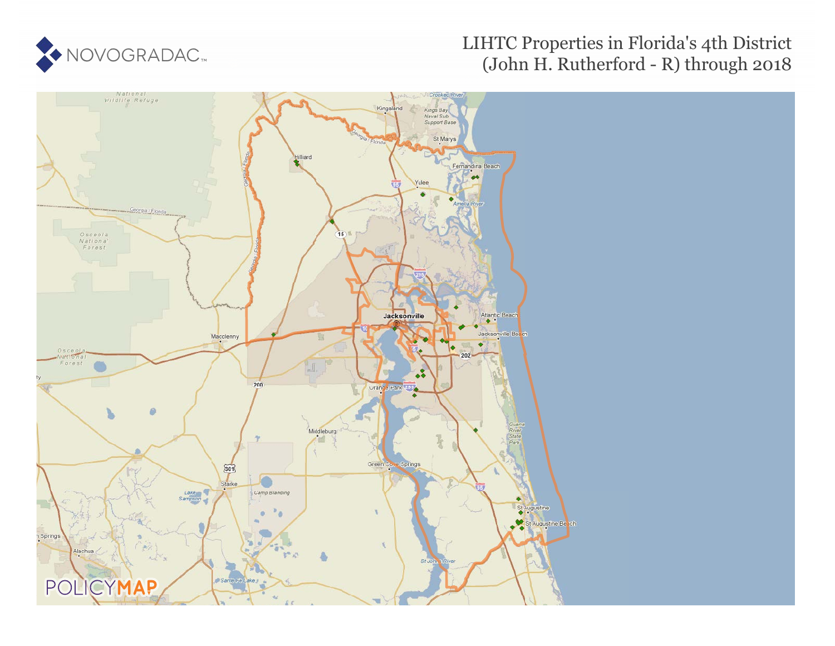

# LIHTC Properties in Florida's 4th District (John H. Rutherford - R) through 2018

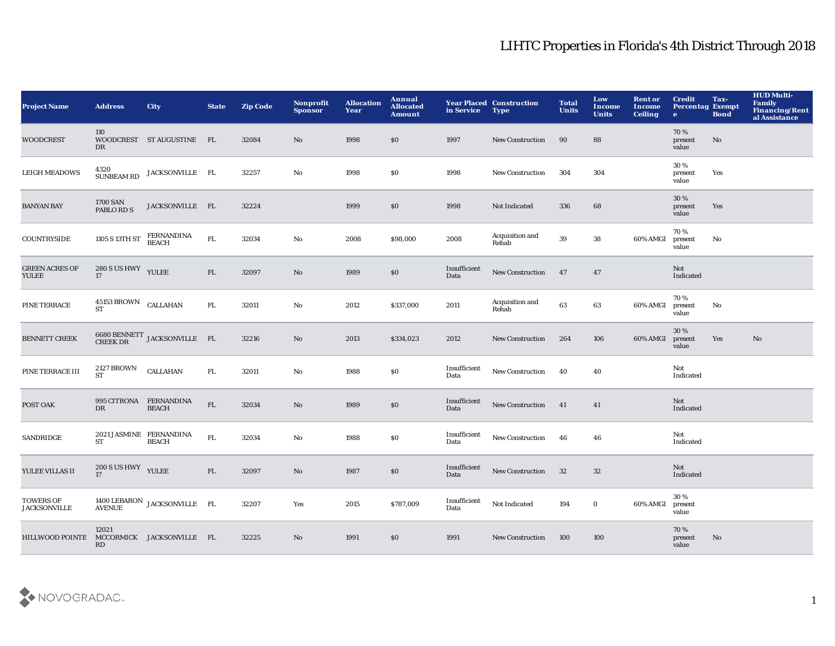| <b>Project Name</b>                     | <b>Address</b>                       | <b>City</b>                                                                       | <b>State</b> | <b>Zip Code</b> | <b>Nonprofit</b><br><b>Sponsor</b> | <b>Allocation</b><br>Year | Annual<br><b>Allocated</b><br><b>Amount</b> | in Service           | <b>Year Placed Construction</b><br><b>Type</b> | <b>Total</b><br><b>Units</b> | Low<br>Income<br><b>Units</b> | <b>Rent or</b><br><b>Income</b><br><b>Ceiling</b> | <b>Credit</b><br><b>Percentag Exempt</b><br>$\bullet$ | Tax-<br><b>Bond</b> | <b>HUD Multi-</b><br>Family<br>Financing/Rent<br>al Assistance |
|-----------------------------------------|--------------------------------------|-----------------------------------------------------------------------------------|--------------|-----------------|------------------------------------|---------------------------|---------------------------------------------|----------------------|------------------------------------------------|------------------------------|-------------------------------|---------------------------------------------------|-------------------------------------------------------|---------------------|----------------------------------------------------------------|
| <b>WOODCREST</b>                        | 110<br>DR                            | WOODCREST STAUGUSTINE FL                                                          |              | 32084           | No                                 | 1998                      | \$0                                         | 1997                 | New Construction                               | 90                           | 88                            |                                                   | 70%<br>present<br>value                               | No                  |                                                                |
| <b>LEIGH MEADOWS</b>                    | 4320<br>SUNBEAM RD                   | JACKSONVILLE FL                                                                   |              | 32257           | No                                 | 1998                      | \$0                                         | 1998                 | New Construction                               | 304                          | 304                           |                                                   | 30%<br>present<br>value                               | Yes                 |                                                                |
| <b>BANYAN BAY</b>                       | $1700$ SAN PABLO RD S                | JACKSONVILLE FL                                                                   |              | 32224           |                                    | 1999                      | \$0                                         | 1998                 | Not Indicated                                  | 336                          | 68                            |                                                   | 30 %<br>present<br>value                              | Yes                 |                                                                |
| COUNTRYSIDE                             | 1105 S 13TH ST                       | FERNANDINA<br>BEACH                                                               | ${\rm FL}$   | 32034           | $\mathbf {No}$                     | 2008                      | \$98,000                                    | 2008                 | Acquisition and<br>Rehab                       | 39                           | 38                            | 60% AMGI                                          | 70%<br>present<br>value                               | No                  |                                                                |
| <b>GREEN ACRES OF</b><br>YULEE          | 280 S US HWY YULEE<br>17             |                                                                                   | FL           | 32097           | $\mathbf{N}\mathbf{o}$             | 1989                      | \$0                                         | Insufficient<br>Data | <b>New Construction</b>                        | 47                           | 47                            |                                                   | Not<br>Indicated                                      |                     |                                                                |
| PINE TERRACE                            | 45153 BROWN CALLAHAN<br><b>ST</b>    |                                                                                   | FL.          | 32011           | No                                 | 2012                      | \$337,000                                   | 2011                 | Acquisition and<br>Rehab                       | 63                           | 63                            | 60% AMGI                                          | 70%<br>present<br>value                               | No                  |                                                                |
| <b>BENNETT CREEK</b>                    |                                      | $6680\,$ BENNETT $\,$ JACKSONVILLE $\,$ FL $\,$ CREEK DR                          |              | 32216           | $\mathbf{N}\mathbf{o}$             | 2013                      | \$334,023                                   | 2012                 | <b>New Construction</b>                        | 264                          | 106                           | 60% AMGI                                          | 30 %<br>present<br>value                              | Yes                 | No                                                             |
| PINE TERRACE III                        | <b>2127 BROWN</b><br><b>ST</b>       | <b>CALLAHAN</b>                                                                   | ${\rm FL}$   | 32011           | No                                 | 1988                      | \$0                                         | Insufficient<br>Data | <b>New Construction</b>                        | 40                           | 40                            |                                                   | Not<br>Indicated                                      |                     |                                                                |
| POST OAK                                | DR                                   | 995 CITRONA FERNANDINA<br><b>BEACH</b>                                            | ${\rm FL}$   | 32034           | No                                 | 1989                      | \$0                                         | Insufficient<br>Data | <b>New Construction</b>                        | 41                           | 41                            |                                                   | Not<br>Indicated                                      |                     |                                                                |
| SANDRIDGE                               | 2021 JASMINE FERNANDINA<br><b>ST</b> | <b>BEACH</b>                                                                      | ${\rm FL}$   | 32034           | $\rm No$                           | 1988                      | \$0                                         | Insufficient<br>Data | <b>New Construction</b>                        | 46                           | 46                            |                                                   | Not<br>Indicated                                      |                     |                                                                |
| YULEE VILLAS II                         | 200 S US HWY YULEE<br>17             |                                                                                   | FL           | 32097           | $\mathbf{N}\mathbf{o}$             | 1987                      | \$0                                         | Insufficient<br>Data | <b>New Construction</b>                        | 32                           | $32\,$                        |                                                   | Not<br>Indicated                                      |                     |                                                                |
| <b>TOWERS OF</b><br><b>JACKSONVILLE</b> |                                      | $\frac{1400 \text{ LEBARON}}{\text{AVENUE}} \text{ JACKSONVILLE} \quad \text{FL}$ |              | 32207           | Yes                                | 2015                      | \$787,009                                   | Insufficient<br>Data | Not Indicated                                  | 194                          | $\bf{0}$                      | 60% AMGI                                          | 30%<br>present<br>value                               |                     |                                                                |
| <b>HILLWOOD POINTE</b>                  | 12021<br>RD                          | MCCORMICK JACKSONVILLE FL                                                         |              | 32225           | No                                 | 1991                      | \$0                                         | 1991                 | <b>New Construction</b>                        | 100                          | 100                           |                                                   | 70%<br>present<br>value                               | No                  |                                                                |

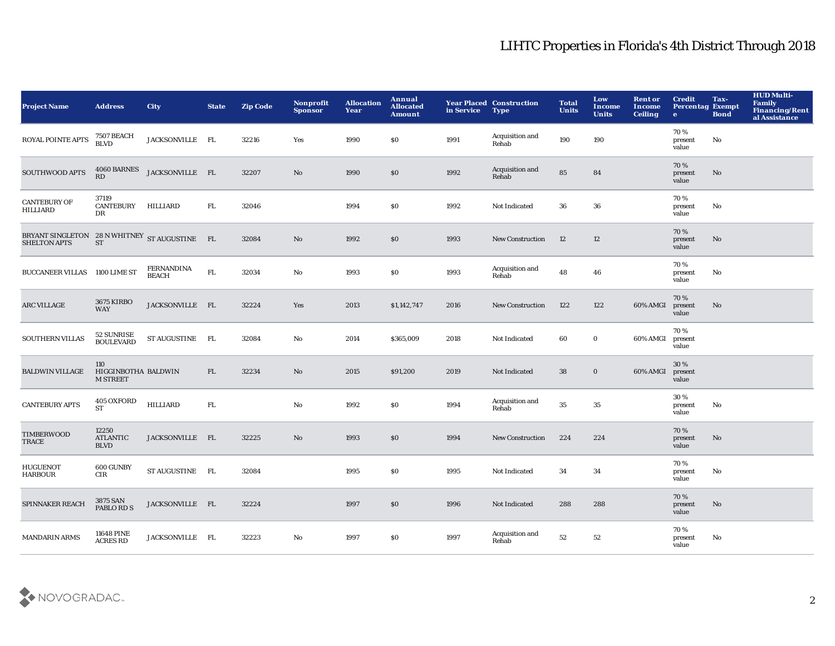| <b>Project Name</b>                                                  | <b>Address</b>                                | <b>City</b>                       | <b>State</b> | <b>Zip Code</b> | Nonprofit<br><b>Sponsor</b> | <b>Allocation</b><br>Year | Annual<br><b>Allocated</b><br><b>Amount</b> | in Service | <b>Year Placed Construction</b><br><b>Type</b> | <b>Total</b><br><b>Units</b> | Low<br>Income<br><b>Units</b> | <b>Rent or</b><br><b>Income</b><br><b>Ceiling</b> | <b>Credit</b><br><b>Percentag Exempt</b><br>$\bullet$ | Tax-<br><b>Bond</b> | <b>HUD Multi-</b><br>Family<br>Financing/Rent<br>al Assistance |
|----------------------------------------------------------------------|-----------------------------------------------|-----------------------------------|--------------|-----------------|-----------------------------|---------------------------|---------------------------------------------|------------|------------------------------------------------|------------------------------|-------------------------------|---------------------------------------------------|-------------------------------------------------------|---------------------|----------------------------------------------------------------|
| ROYAL POINTE APTS                                                    | <b>7507 BEACH</b><br><b>BLVD</b>              | JACKSONVILLE FL                   |              | 32216           | Yes                         | 1990                      | \$0                                         | 1991       | Acquisition and<br>Rehab                       | 190                          | 190                           |                                                   | 70%<br>present<br>value                               | No                  |                                                                |
| SOUTHWOOD APTS                                                       | 4060 BARNES<br>RD                             | JACKSONVILLE FL                   |              | 32207           | $\mathbf{N}\mathbf{o}$      | 1990                      | \$0                                         | 1992       | Acquisition and<br>Rehab                       | 85                           | 84                            |                                                   | 70 %<br>present<br>value                              | No                  |                                                                |
| <b>CANTEBURY OF</b><br><b>HILLIARD</b>                               | 37119<br><b>CANTEBURY</b><br>DR               | HILLIARD                          | FL.          | 32046           |                             | 1994                      | \$0                                         | 1992       | Not Indicated                                  | 36                           | 36                            |                                                   | 70%<br>present<br>value                               | No                  |                                                                |
| BRYANT SINGLETON 28 N WHITNEY ST AUGUSTINE FL<br><b>SHELTON APTS</b> | <b>ST</b>                                     |                                   |              | 32084           | No                          | 1992                      | \$0                                         | 1993       | <b>New Construction</b>                        | 12                           | 12                            |                                                   | 70%<br>present<br>value                               | No                  |                                                                |
| BUCCANEER VILLAS 1100 LIME ST                                        |                                               | <b>FERNANDINA</b><br><b>BEACH</b> | ${\rm FL}$   | 32034           | No                          | 1993                      | \$0                                         | 1993       | Acquisition and<br>Rehab                       | 48                           | 46                            |                                                   | 70%<br>present<br>value                               | No                  |                                                                |
| ARC VILLAGE                                                          | <b>3675 KIRBO</b><br><b>WAY</b>               | JACKSONVILLE FL                   |              | 32224           | Yes                         | 2013                      | \$1,142,747                                 | 2016       | New Construction                               | 122                          | 122                           | 60% AMGI                                          | 70%<br>present<br>value                               | No                  |                                                                |
| <b>SOUTHERN VILLAS</b>                                               | 52 SUNRISE<br><b>BOULEVARD</b>                | ST AUGUSTINE FL                   |              | 32084           | $\rm No$                    | 2014                      | \$365,009                                   | 2018       | Not Indicated                                  | 60                           | $\mathbf 0$                   | 60% AMGI                                          | 70%<br>present<br>value                               |                     |                                                                |
| <b>BALDWIN VILLAGE</b>                                               | 110<br>HIGGINBOTHA BALDWIN<br><b>M STREET</b> |                                   | FL           | 32234           | No                          | 2015                      | \$91,200                                    | 2019       | Not Indicated                                  | 38                           | $\mathbf 0$                   | 60% AMGI                                          | 30%<br>present<br>value                               |                     |                                                                |
| <b>CANTEBURY APTS</b>                                                | 405 OXFORD<br><b>ST</b>                       | HILLIARD                          | FL.          |                 | No                          | 1992                      | <b>SO</b>                                   | 1994       | Acquisition and<br>Rehab                       | 35                           | 35                            |                                                   | 30%<br>present<br>value                               | No                  |                                                                |
| TIMBERWOOD<br>TRACE                                                  | 12250<br><b>ATLANTIC</b><br><b>BLVD</b>       | JACKSONVILLE FL                   |              | 32225           | $\rm No$                    | 1993                      | \$0                                         | 1994       | <b>New Construction</b>                        | 224                          | 224                           |                                                   | 70%<br>present<br>value                               | No                  |                                                                |
| <b>HUGUENOT</b><br><b>HARBOUR</b>                                    | 600 GUNBY<br>$_{\rm CIR}$                     | ST AUGUSTINE FL                   |              | 32084           |                             | 1995                      | \$0                                         | 1995       | Not Indicated                                  | 34                           | 34                            |                                                   | 70 %<br>present<br>value                              | No                  |                                                                |
| SPINNAKER REACH                                                      | 3875 SAN<br>PABLO RD S                        | JACKSONVILLE FL                   |              | 32224           |                             | 1997                      | \$0                                         | 1996       | Not Indicated                                  | 288                          | 288                           |                                                   | 70%<br>present<br>value                               | No                  |                                                                |
| <b>MANDARIN ARMS</b>                                                 | <b>11648 PINE</b><br><b>ACRES RD</b>          | JACKSONVILLE FL                   |              | 32223           | No                          | 1997                      | <b>SO</b>                                   | 1997       | Acquisition and<br>Rehab                       | 52                           | 52                            |                                                   | 70%<br>present<br>value                               | No                  |                                                                |

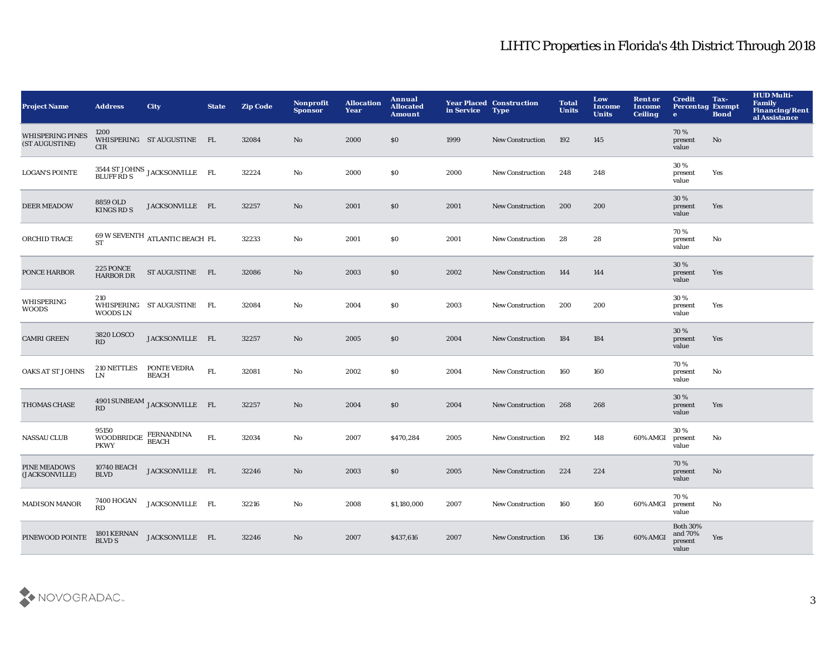| <b>Project Name</b>                       | <b>Address</b>                                | <b>City</b>                                 | <b>State</b> | <b>Zip Code</b> | <b>Nonprofit</b><br><b>Sponsor</b> | <b>Allocation</b><br>Year | Annual<br><b>Allocated</b><br><b>Amount</b> | in Service | <b>Year Placed Construction</b><br><b>Type</b> | <b>Total</b><br><b>Units</b> | Low<br>Income<br><b>Units</b> | <b>Rent or</b><br><b>Income</b><br><b>Ceiling</b> | <b>Credit</b><br><b>Percentag Exempt</b><br>$\bullet$ | Tax-<br><b>Bond</b> | <b>HUD Multi-</b><br>Family<br><b>Financing/Rent</b><br>al Assistance |
|-------------------------------------------|-----------------------------------------------|---------------------------------------------|--------------|-----------------|------------------------------------|---------------------------|---------------------------------------------|------------|------------------------------------------------|------------------------------|-------------------------------|---------------------------------------------------|-------------------------------------------------------|---------------------|-----------------------------------------------------------------------|
| <b>WHISPERING PINES</b><br>(ST AUGUSTINE) | 1200<br>CIR                                   | WHISPERING STAUGUSTINE FL                   |              | 32084           | $\mathbf{N}\mathbf{o}$             | 2000                      | \$0                                         | 1999       | New Construction                               | 192                          | 145                           |                                                   | 70%<br>present<br>value                               | No                  |                                                                       |
| <b>LOGAN'S POINTE</b>                     |                                               | 3544 ST JOHNS JACKSONVILLE FL<br>BLUFF RD S |              | 32224           | No                                 | 2000                      | S <sub>0</sub>                              | 2000       | <b>New Construction</b>                        | 248                          | 248                           |                                                   | 30%<br>present<br>value                               | Yes                 |                                                                       |
| <b>DEER MEADOW</b>                        | 8859 OLD<br><b>KINGS RD S</b>                 | JACKSONVILLE FL                             |              | 32257           | No                                 | 2001                      | \$0                                         | 2001       | <b>New Construction</b>                        | 200                          | 200                           |                                                   | 30 %<br>present<br>value                              | Yes                 |                                                                       |
| ORCHID TRACE                              | <b>ST</b>                                     | 69 W SEVENTH ATLANTIC BEACH FL              |              | 32233           | $\rm No$                           | 2001                      | \$0                                         | 2001       | New Construction                               | 28                           | 28                            |                                                   | 70%<br>present<br>value                               | No                  |                                                                       |
| PONCE HARBOR                              | 225 PONCE<br><b>HARBOR DR</b>                 | ST AUGUSTINE FL                             |              | 32086           | No                                 | 2003                      | \$0                                         | 2002       | <b>New Construction</b>                        | 144                          | 144                           |                                                   | 30 %<br>present<br>value                              | Yes                 |                                                                       |
| WHISPERING<br><b>WOODS</b>                | 210<br>WOODS LN                               | WHISPERING ST AUGUSTINE                     | FL           | 32084           | No                                 | 2004                      | \$0                                         | 2003       | <b>New Construction</b>                        | 200                          | 200                           |                                                   | 30%<br>present<br>value                               | Yes                 |                                                                       |
| <b>CAMRI GREEN</b>                        | 3820 LOSCO<br>RD                              | JACKSONVILLE FL                             |              | 32257           | $\rm No$                           | 2005                      | \$0                                         | 2004       | <b>New Construction</b>                        | 184                          | 184                           |                                                   | 30 %<br>present<br>value                              | Yes                 |                                                                       |
| <b>OAKS AT ST JOHNS</b>                   | <b>210 NETTLES</b><br>LN                      | PONTE VEDRA<br><b>BEACH</b>                 | FL.          | 32081           | No                                 | 2002                      | S <sub>0</sub>                              | 2004       | <b>New Construction</b>                        | 160                          | 160                           |                                                   | 70 %<br>present<br>value                              | No                  |                                                                       |
| THOMAS CHASE                              | RD                                            | 4901 SUNBEAM JACKSONVILLE FL                |              | 32257           | No                                 | 2004                      | \$0                                         | 2004       | New Construction                               | 268                          | 268                           |                                                   | 30%<br>present<br>value                               | Yes                 |                                                                       |
| <b>NASSAU CLUB</b>                        | 95150<br>WOODBRIDGE FERNANDINA<br><b>PKWY</b> | <b>BEACH</b>                                | ${\rm FL}$   | 32034           | $\rm No$                           | 2007                      | \$470,284                                   | 2005       | <b>New Construction</b>                        | 192                          | 148                           | 60% AMGI                                          | 30%<br>present<br>value                               | No                  |                                                                       |
| PINE MEADOWS<br>(JACKSONVILLE)            | <b>10740 BEACH</b><br><b>BLVD</b>             | JACKSONVILLE FL                             |              | 32246           | No                                 | 2003                      | \$0                                         | 2005       | New Construction                               | 224                          | 224                           |                                                   | 70%<br>present<br>value                               | No                  |                                                                       |
| <b>MADISON MANOR</b>                      | 7400 HOGAN<br>RD                              | JACKSONVILLE FL                             |              | 32216           | No                                 | 2008                      | \$1,180,000                                 | 2007       | New Construction                               | 160                          | 160                           | 60% AMGI                                          | 70%<br>present<br>value                               | No                  |                                                                       |
| PINEWOOD POINTE                           | 1801 KERNAN<br><b>BLVD S</b>                  | JACKSONVILLE FL                             |              | 32246           | No                                 | 2007                      | \$437,616                                   | 2007       | <b>New Construction</b>                        | 136                          | 136                           | 60% AMGI                                          | <b>Both 30%</b><br>and 70%<br>present<br>value        | Yes                 |                                                                       |